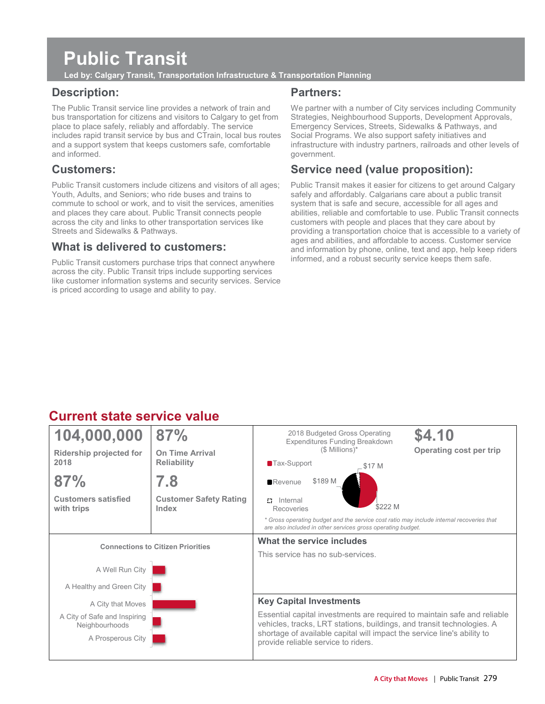# **Public Transit**

**Led by: Calgary Transit, Transportation Infrastructure & Transportation Planning** 

## **Description:**

The Public Transit service line provides a network of train and bus transportation for citizens and visitors to Calgary to get from place to place safely, reliably and affordably. The service includes rapid transit service by bus and CTrain, local bus routes and a support system that keeps customers safe, comfortable and informed.

## **Customers:**

Public Transit customers include citizens and visitors of all ages; Youth, Adults, and Seniors; who ride buses and trains to commute to school or work, and to visit the services, amenities and places they care about. Public Transit connects people across the city and links to other transportation services like Streets and Sidewalks & Pathways.

### **What is delivered to customers:**

Public Transit customers purchase trips that connect anywhere across the city. Public Transit trips include supporting services like customer information systems and security services. Service is priced according to usage and ability to pay.

### **Partners:**

We partner with a number of City services including Community Strategies, Neighbourhood Supports, Development Approvals, Emergency Services, Streets, Sidewalks & Pathways, and Social Programs. We also support safety initiatives and infrastructure with industry partners, railroads and other levels of government.

## **Service need (value proposition):**

Public Transit makes it easier for citizens to get around Calgary safely and affordably. Calgarians care about a public transit system that is safe and secure, accessible for all ages and abilities, reliable and comfortable to use. Public Transit connects customers with people and places that they care about by providing a transportation choice that is accessible to a variety of ages and abilities, and affordable to access. Customer service and information by phone, online, text and app, help keep riders informed, and a robust security service keeps them safe.

## **Current state service value**

| 104,000,000                                    | 87%                                          | \$4.10<br>2018 Budgeted Gross Operating<br><b>Expenditures Funding Breakdown</b>                                                                        |  |  |  |  |  |
|------------------------------------------------|----------------------------------------------|---------------------------------------------------------------------------------------------------------------------------------------------------------|--|--|--|--|--|
| <b>Ridership projected for</b><br>2018         | <b>On Time Arrival</b><br><b>Reliability</b> | $($$ Millions)*<br>Operating cost per trip<br>$\blacksquare$ Tax-Support                                                                                |  |  |  |  |  |
|                                                |                                              | \$17 M                                                                                                                                                  |  |  |  |  |  |
| 87%                                            | 7.8                                          | \$189 M<br>$\blacksquare$ Revenue                                                                                                                       |  |  |  |  |  |
| <b>Customers satisfied</b><br>with trips       | <b>Customer Safety Rating</b><br>Index       | Internal<br>47<br>\$222 M<br>Recoveries                                                                                                                 |  |  |  |  |  |
|                                                |                                              | * Gross operating budget and the service cost ratio may include internal recoveries that<br>are also included in other services gross operating budget. |  |  |  |  |  |
| <b>Connections to Citizen Priorities</b>       |                                              | What the service includes                                                                                                                               |  |  |  |  |  |
|                                                |                                              | This service has no sub-services.                                                                                                                       |  |  |  |  |  |
| A Well Run City                                |                                              |                                                                                                                                                         |  |  |  |  |  |
| A Healthy and Green City                       |                                              |                                                                                                                                                         |  |  |  |  |  |
| A City that Moves                              |                                              | <b>Key Capital Investments</b>                                                                                                                          |  |  |  |  |  |
| A City of Safe and Inspiring<br>Neighbourhoods |                                              | Essential capital investments are required to maintain safe and reliable<br>vehicles, tracks, LRT stations, buildings, and transit technologies. A      |  |  |  |  |  |
| A Prosperous City                              |                                              | shortage of available capital will impact the service line's ability to<br>provide reliable service to riders.                                          |  |  |  |  |  |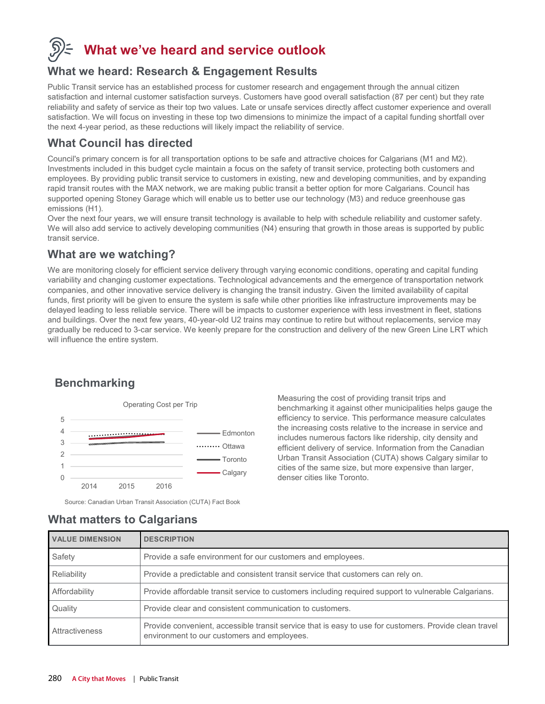## **What we've heard and service outlook**

### **What we heard: Research & Engagement Results**

Public Transit service has an established process for customer research and engagement through the annual citizen satisfaction and internal customer satisfaction surveys. Customers have good overall satisfaction (87 per cent) but they rate reliability and safety of service as their top two values. Late or unsafe services directly affect customer experience and overall satisfaction. We will focus on investing in these top two dimensions to minimize the impact of a capital funding shortfall over the next 4-year period, as these reductions will likely impact the reliability of service.

### **What Council has directed**

Council's primary concern is for all transportation options to be safe and attractive choices for Calgarians (M1 and M2). Investments included in this budget cycle maintain a focus on the safety of transit service, protecting both customers and employees. By providing public transit service to customers in existing, new and developing communities, and by expanding rapid transit routes with the MAX network, we are making public transit a better option for more Calgarians. Council has supported opening Stoney Garage which will enable us to better use our technology (M3) and reduce greenhouse gas emissions (H1).

Over the next four years, we will ensure transit technology is available to help with schedule reliability and customer safety. We will also add service to actively developing communities (N4) ensuring that growth in those areas is supported by public transit service.

### **What are we watching?**

We are monitoring closely for efficient service delivery through varying economic conditions, operating and capital funding variability and changing customer expectations. Technological advancements and the emergence of transportation network companies, and other innovative service delivery is changing the transit industry. Given the limited availability of capital funds, first priority will be given to ensure the system is safe while other priorities like infrastructure improvements may be delayed leading to less reliable service. There will be impacts to customer experience with less investment in fleet, stations and buildings. Over the next few years, 40-year-old U2 trains may continue to retire but without replacements, service may gradually be reduced to 3-car service. We keenly prepare for the construction and delivery of the new Green Line LRT which will influence the entire system.

## **Benchmarking**



Measuring the cost of providing transit trips and benchmarking it against other municipalities helps gauge the efficiency to service. This performance measure calculates the increasing costs relative to the increase in service and includes numerous factors like ridership, city density and efficient delivery of service. Information from the Canadian Urban Transit Association (CUTA) shows Calgary similar to cities of the same size, but more expensive than larger, denser cities like Toronto.

Source: Canadian Urban Transit Association (CUTA) Fact Book

| <b>VALUE DIMENSION</b> | <b>DESCRIPTION</b>                                                                                                                                    |
|------------------------|-------------------------------------------------------------------------------------------------------------------------------------------------------|
| Safety                 | Provide a safe environment for our customers and employees.                                                                                           |
| Reliability            | Provide a predictable and consistent transit service that customers can rely on.                                                                      |
| Affordability          | Provide affordable transit service to customers including required support to vulnerable Calgarians.                                                  |
| Quality                | Provide clear and consistent communication to customers.                                                                                              |
| Attractiveness         | Provide convenient, accessible transit service that is easy to use for customers. Provide clean travel<br>environment to our customers and employees. |

## **What matters to Calgarians**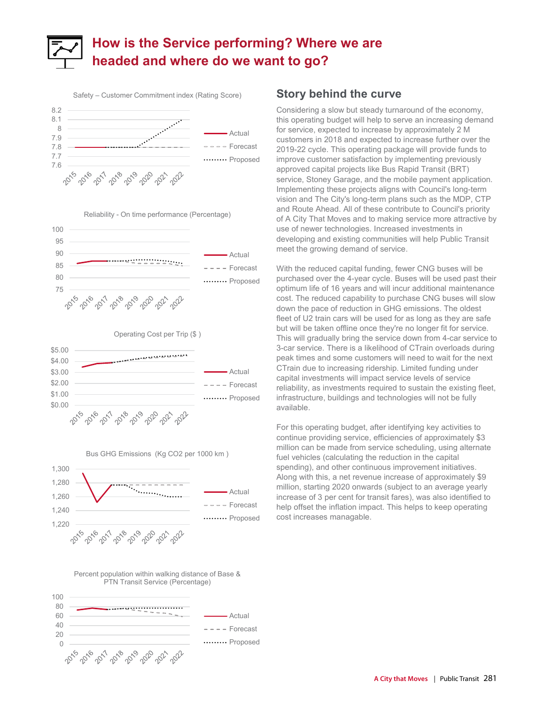## **How is the Service performing? Where we are headed and where do we want to go?**





#### Operating Cost per Trip (\$ )





#### Percent population within walking distance of Base & PTN Transit Service (Percentage)



### **Story behind the curve**

Considering a slow but steady turnaround of the economy, this operating budget will help to serve an increasing demand for service, expected to increase by approximately 2 M customers in 2018 and expected to increase further over the 2019-22 cycle. This operating package will provide funds to improve customer satisfaction by implementing previously approved capital projects like Bus Rapid Transit (BRT) service, Stoney Garage, and the mobile payment application. Implementing these projects aligns with Council's long-term vision and The City's long-term plans such as the MDP, CTP and Route Ahead. All of these contribute to Council's priority of A City That Moves and to making service more attractive by use of newer technologies. Increased investments in developing and existing communities will help Public Transit meet the growing demand of service.

With the reduced capital funding, fewer CNG buses will be purchased over the 4-year cycle. Buses will be used past their optimum life of 16 years and will incur additional maintenance cost. The reduced capability to purchase CNG buses will slow down the pace of reduction in GHG emissions. The oldest fleet of U2 train cars will be used for as long as they are safe but will be taken offline once they're no longer fit for service. This will gradually bring the service down from 4-car service to 3-car service. There is a likelihood of CTrain overloads during peak times and some customers will need to wait for the next CTrain due to increasing ridership. Limited funding under capital investments will impact service levels of service reliability, as investments required to sustain the existing fleet, infrastructure, buildings and technologies will not be fully available.

For this operating budget, after identifying key activities to continue providing service, efficiencies of approximately \$3 million can be made from service scheduling, using alternate fuel vehicles (calculating the reduction in the capital spending), and other continuous improvement initiatives. Along with this, a net revenue increase of approximately \$9 million, starting 2020 onwards (subject to an average yearly increase of 3 per cent for transit fares), was also identified to help offset the inflation impact. This helps to keep operating cost increases managable.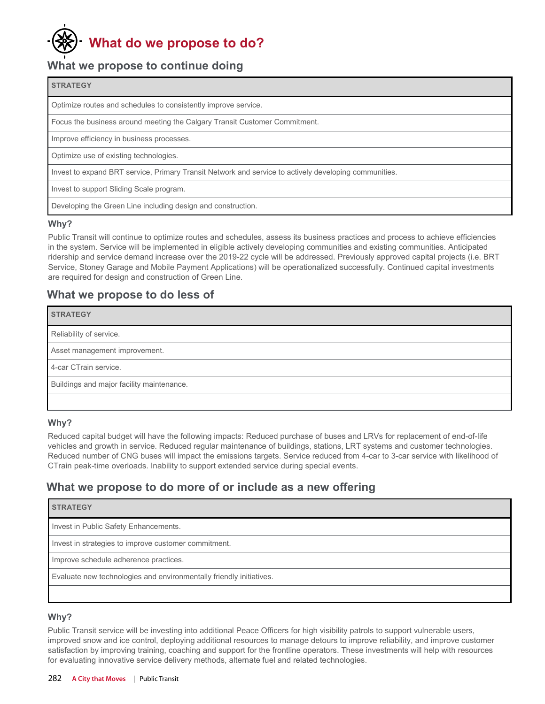## **What do we propose to do?**

## **What we propose to continue doing**

#### **STRATEGY**

Optimize routes and schedules to consistently improve service.

Focus the business around meeting the Calgary Transit Customer Commitment.

Improve efficiency in business processes.

Optimize use of existing technologies.

Invest to expand BRT service, Primary Transit Network and service to actively developing communities.

Invest to support Sliding Scale program.

Developing the Green Line including design and construction.

#### **Why?**

Public Transit will continue to optimize routes and schedules, assess its business practices and process to achieve efficiencies in the system. Service will be implemented in eligible actively developing communities and existing communities. Anticipated ridership and service demand increase over the 2019-22 cycle will be addressed. Previously approved capital projects (i.e. BRT Service, Stoney Garage and Mobile Payment Applications) will be operationalized successfully. Continued capital investments are required for design and construction of Green Line.

### **What we propose to do less of**

| <b>STRATEGY</b>                           |
|-------------------------------------------|
| Reliability of service.                   |
| Asset management improvement.             |
| 4-car CTrain service.                     |
| Buildings and major facility maintenance. |
|                                           |

#### **Why?**

Reduced capital budget will have the following impacts: Reduced purchase of buses and LRVs for replacement of end-of-life vehicles and growth in service. Reduced regular maintenance of buildings, stations, LRT systems and customer technologies. Reduced number of CNG buses will impact the emissions targets. Service reduced from 4-car to 3-car service with likelihood of CTrain peak-time overloads. Inability to support extended service during special events.

## **What we propose to do more of or include as a new offering**

| <b>STRATEGY</b> |
|-----------------|
|-----------------|

Invest in Public Safety Enhancements.

Invest in strategies to improve customer commitment.

Improve schedule adherence practices.

Evaluate new technologies and environmentally friendly initiatives.

#### **Why?**

Public Transit service will be investing into additional Peace Officers for high visibility patrols to support vulnerable users, improved snow and ice control, deploying additional resources to manage detours to improve reliability, and improve customer satisfaction by improving training, coaching and support for the frontline operators. These investments will help with resources for evaluating innovative service delivery methods, alternate fuel and related technologies.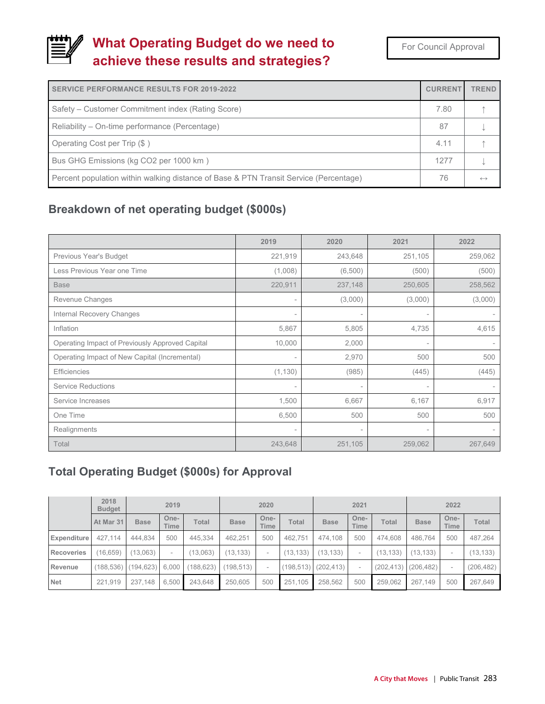## **What Operating Budget do we need to achieve these results and strategies?**

| <b>SERVICE PERFORMANCE RESULTS FOR 2019-2022</b>                                      | <b>CURRENT</b> | <b>TREND</b>      |
|---------------------------------------------------------------------------------------|----------------|-------------------|
| Safety – Customer Commitment index (Rating Score)                                     | 7.80           |                   |
| Reliability – On-time performance (Percentage)                                        | 87             |                   |
| Operating Cost per Trip (\$)                                                          | 4.11           |                   |
| Bus GHG Emissions (kg CO2 per 1000 km)                                                | 1277           |                   |
| Percent population within walking distance of Base & PTN Transit Service (Percentage) | 76             | $\leftrightarrow$ |

## **Breakdown of net operating budget (\$000s)**

|                                                 | 2019                     | 2020                     | 2021                     | 2022                     |
|-------------------------------------------------|--------------------------|--------------------------|--------------------------|--------------------------|
| Previous Year's Budget                          | 221,919                  | 243,648                  | 251,105                  | 259,062                  |
| Less Previous Year one Time                     | (1,008)                  | (6,500)                  | (500)                    | (500)                    |
| <b>Base</b>                                     | 220,911                  | 237,148                  | 250,605                  | 258,562                  |
| Revenue Changes                                 | $\overline{\phantom{a}}$ | (3,000)                  | (3,000)                  | (3,000)                  |
| <b>Internal Recovery Changes</b>                | $\overline{\phantom{a}}$ |                          | $\qquad \qquad =$        |                          |
| Inflation                                       | 5,867                    | 5,805                    | 4,735                    | 4,615                    |
| Operating Impact of Previously Approved Capital | 10,000                   | 2,000                    | $\overline{\phantom{a}}$ |                          |
| Operating Impact of New Capital (Incremental)   | $\overline{\phantom{a}}$ | 2,970                    | 500                      | 500                      |
| <b>Efficiencies</b>                             | (1, 130)                 | (985)                    | (445)                    | (445)                    |
| <b>Service Reductions</b>                       | $\overline{\phantom{a}}$ | $\overline{\phantom{a}}$ | $\overline{\phantom{a}}$ | $\overline{\phantom{a}}$ |
| Service Increases                               | 1,500                    | 6,667                    | 6,167                    | 6,917                    |
| One Time                                        | 6,500                    | 500                      | 500                      | 500                      |
| Realignments                                    | $\overline{\phantom{a}}$ | $\overline{\phantom{a}}$ | $\overline{\phantom{a}}$ |                          |
| Total                                           | 243,648                  | 251,105                  | 259,062                  | 267,649                  |

## **Total Operating Budget (\$000s) for Approval**

|                   | 2018<br><b>Budget</b> | 2019                |                     | 2020       |             |                          | 2021       |             |                          | 2022         |             |                          |            |
|-------------------|-----------------------|---------------------|---------------------|------------|-------------|--------------------------|------------|-------------|--------------------------|--------------|-------------|--------------------------|------------|
|                   | At Mar 31             | <b>Base</b>         | One-<br><b>Time</b> | Total      | <b>Base</b> | One-<br>Time             | Total      | <b>Base</b> | One-<br><b>Time</b>      | <b>Total</b> | <b>Base</b> | One-<br>Time             | Total      |
| Expenditure       | 427.114               | 444.834             | 500                 | 445.334    | 462.251     | 500                      | 462.751    | 474.108     | 500                      | 474.608      | 486.764     | 500                      | 487,264    |
| <b>Recoveries</b> | (16, 659)             | (13,063)            | ٠                   | (13,063)   | (13, 133)   | $\overline{\phantom{a}}$ | (13, 133)  | (13, 133)   | ۰                        | (13, 133)    | (13, 133)   | $\overline{\phantom{a}}$ | (13, 133)  |
| Revenue           |                       | (188,536) (194,623) | 6.000               | (188, 623) | (198, 513)  | $\overline{\phantom{a}}$ | (198, 513) | (202, 413)  | $\overline{\phantom{a}}$ | (202, 413)   | (206, 482)  | $\overline{\phantom{a}}$ | (206, 482) |
| <b>Net</b>        | 221.919               | 237.148             | 6.500               | 243.648    | 250,605     | 500                      | 251,105    | 258.562     | 500                      | 259.062      | 267.149     | 500                      | 267,649    |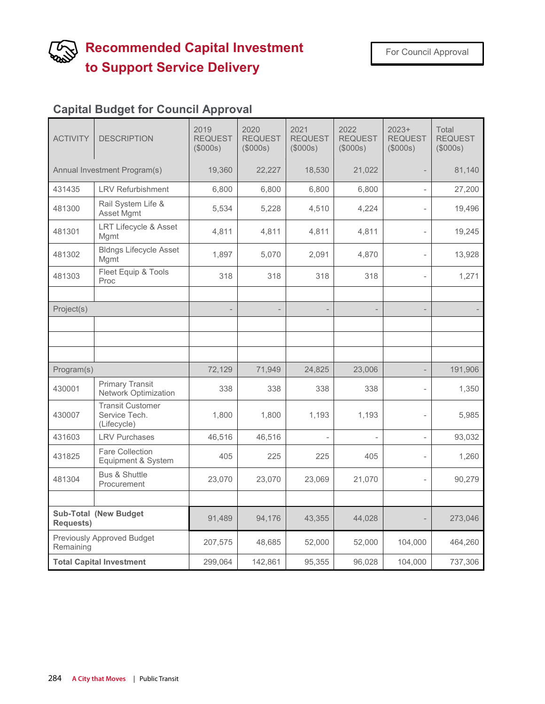## **Recommended Capital Investment to Support Service Delivery**

## **Capital Budget for Council Approval**

| <b>ACTIVITY</b>                                  | <b>DESCRIPTION</b>                                      | 2019<br><b>REQUEST</b><br>(\$000s) | 2020<br><b>REQUEST</b><br>(\$000s) | 2021<br><b>REQUEST</b><br>(\$000s) | 2022<br><b>REQUEST</b><br>(\$000s) | $2023+$<br><b>REQUEST</b><br>(\$000s) | Total<br><b>REQUEST</b><br>(\$000s) |
|--------------------------------------------------|---------------------------------------------------------|------------------------------------|------------------------------------|------------------------------------|------------------------------------|---------------------------------------|-------------------------------------|
| Annual Investment Program(s)                     |                                                         | 19,360                             | 22,227                             | 18,530                             | 21,022                             |                                       | 81,140                              |
| 431435                                           | <b>LRV Refurbishment</b>                                | 6,800                              | 6,800                              | 6,800                              | 6,800                              |                                       | 27,200                              |
| 481300                                           | Rail System Life &<br>Asset Mgmt                        | 5,534                              | 5,228                              | 4,510                              | 4,224                              |                                       | 19,496                              |
| 481301                                           | LRT Lifecycle & Asset<br>Mgmt                           | 4,811                              | 4,811                              | 4,811                              | 4,811                              |                                       | 19,245                              |
| 481302                                           | <b>Bldngs Lifecycle Asset</b><br>Mgmt                   | 1,897                              | 5,070                              | 2,091                              | 4,870                              |                                       | 13,928                              |
| 481303                                           | Fleet Equip & Tools<br>Proc                             | 318                                | 318                                | 318                                | 318                                | $\overline{a}$                        | 1,271                               |
|                                                  |                                                         |                                    |                                    |                                    |                                    |                                       |                                     |
| Project(s)                                       |                                                         |                                    |                                    |                                    | $\overline{\phantom{a}}$           |                                       |                                     |
|                                                  |                                                         |                                    |                                    |                                    |                                    |                                       |                                     |
|                                                  |                                                         |                                    |                                    |                                    |                                    |                                       |                                     |
| Program(s)                                       |                                                         | 72,129                             | 71,949                             | 24,825                             | 23,006                             |                                       | 191,906                             |
| 430001                                           | <b>Primary Transit</b><br><b>Network Optimization</b>   | 338                                | 338                                | 338                                | 338                                |                                       | 1,350                               |
| 430007                                           | <b>Transit Customer</b><br>Service Tech.<br>(Lifecycle) | 1,800                              | 1,800                              | 1,193                              | 1,193                              |                                       | 5,985                               |
| 431603                                           | <b>LRV Purchases</b>                                    | 46,516                             | 46,516                             |                                    |                                    |                                       | 93,032                              |
| 431825                                           | <b>Fare Collection</b><br>Equipment & System            | 405                                | 225                                | 225                                | 405                                | $\overline{a}$                        | 1,260                               |
| 481304                                           | <b>Bus &amp; Shuttle</b><br>Procurement                 | 23,070                             | 23,070                             | 23,069                             | 21,070                             |                                       | 90,279                              |
|                                                  |                                                         |                                    |                                    |                                    |                                    |                                       |                                     |
| <b>Sub-Total (New Budget</b><br><b>Requests)</b> |                                                         | 91,489                             | 94,176                             | 43,355                             | 44,028                             |                                       | 273,046                             |
| Previously Approved Budget<br>Remaining          |                                                         | 207,575                            | 48,685                             | 52,000                             | 52,000                             | 104,000                               | 464,260                             |
| <b>Total Capital Investment</b>                  |                                                         | 299,064                            | 142,861                            | 95,355                             | 96,028                             | 104,000                               | 737,306                             |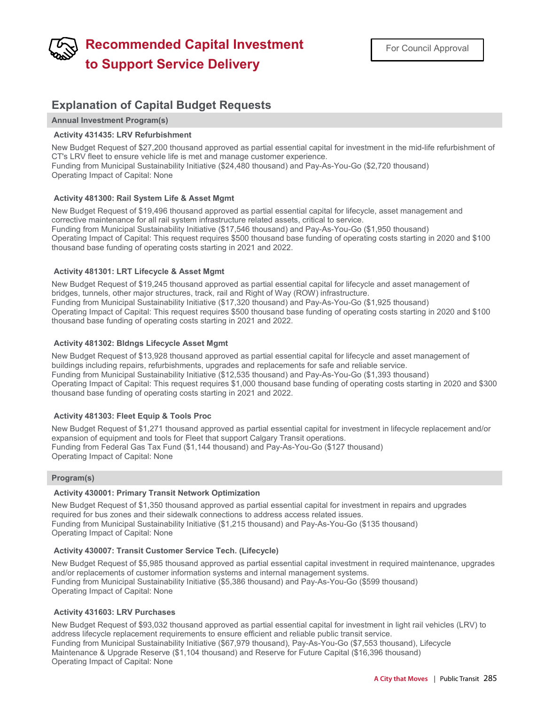## **Recommended Capital Investment to Support Service Delivery**

### **Explanation of Capital Budget Requests**

**Annual Investment Program(s)**

#### **Activity 431435: LRV Refurbishment**

New Budget Request of \$27,200 thousand approved as partial essential capital for investment in the mid-life refurbishment of CT's LRV fleet to ensure vehicle life is met and manage customer experience. Funding from Municipal Sustainability Initiative (\$24,480 thousand) and Pay-As-You-Go (\$2,720 thousand) Operating Impact of Capital: None

#### **Activity 481300: Rail System Life & Asset Mgmt**

New Budget Request of \$19,496 thousand approved as partial essential capital for lifecycle, asset management and corrective maintenance for all rail system infrastructure related assets, critical to service. Funding from Municipal Sustainability Initiative (\$17,546 thousand) and Pay-As-You-Go (\$1,950 thousand) Operating Impact of Capital: This request requires \$500 thousand base funding of operating costs starting in 2020 and \$100 thousand base funding of operating costs starting in 2021 and 2022.

#### **Activity 481301: LRT Lifecycle & Asset Mgmt**

New Budget Request of \$19,245 thousand approved as partial essential capital for lifecycle and asset management of bridges, tunnels, other major structures, track, rail and Right of Way (ROW) infrastructure. Funding from Municipal Sustainability Initiative (\$17,320 thousand) and Pay-As-You-Go (\$1,925 thousand) Operating Impact of Capital: This request requires \$500 thousand base funding of operating costs starting in 2020 and \$100 thousand base funding of operating costs starting in 2021 and 2022.

#### **Activity 481302: Bldngs Lifecycle Asset Mgmt**

New Budget Request of \$13,928 thousand approved as partial essential capital for lifecycle and asset management of buildings including repairs, refurbishments, upgrades and replacements for safe and reliable service. Funding from Municipal Sustainability Initiative (\$12,535 thousand) and Pay-As-You-Go (\$1,393 thousand) Operating Impact of Capital: This request requires \$1,000 thousand base funding of operating costs starting in 2020 and \$300 thousand base funding of operating costs starting in 2021 and 2022.

#### **Activity 481303: Fleet Equip & Tools Proc**

New Budget Request of \$1,271 thousand approved as partial essential capital for investment in lifecycle replacement and/or expansion of equipment and tools for Fleet that support Calgary Transit operations. Funding from Federal Gas Tax Fund (\$1,144 thousand) and Pay-As-You-Go (\$127 thousand) Operating Impact of Capital: None

#### **Program(s)**

#### **Activity 430001: Primary Transit Network Optimization**

New Budget Request of \$1,350 thousand approved as partial essential capital for investment in repairs and upgrades required for bus zones and their sidewalk connections to address access related issues. Funding from Municipal Sustainability Initiative (\$1,215 thousand) and Pay-As-You-Go (\$135 thousand) Operating Impact of Capital: None

#### **Activity 430007: Transit Customer Service Tech. (Lifecycle)**

New Budget Request of \$5,985 thousand approved as partial essential capital investment in required maintenance, upgrades and/or replacements of customer information systems and internal management systems. Funding from Municipal Sustainability Initiative (\$5,386 thousand) and Pay-As-You-Go (\$599 thousand) Operating Impact of Capital: None

#### **Activity 431603: LRV Purchases**

New Budget Request of \$93,032 thousand approved as partial essential capital for investment in light rail vehicles (LRV) to address lifecycle replacement requirements to ensure efficient and reliable public transit service. Funding from Municipal Sustainability Initiative (\$67,979 thousand), Pay-As-You-Go (\$7,553 thousand), Lifecycle Maintenance & Upgrade Reserve (\$1,104 thousand) and Reserve for Future Capital (\$16,396 thousand) Operating Impact of Capital: None